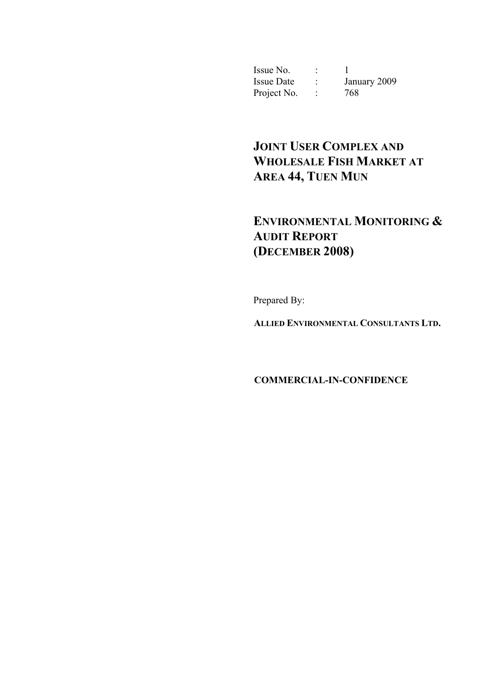Issue No.  $\qquad \qquad : \qquad 1$  Issue Date : January 2009 Project No. : 768

# **JOINT USER COMPLEX AND WHOLESALE FISH MARKET AT AREA 44, TUEN MUN**

# **ENVIRONMENTAL MONITORING & AUDIT REPORT (DECEMBER 2008)**

Prepared By:

**ALLIED ENVIRONMENTAL CONSULTANTS LTD.** 

**COMMERCIAL-IN-CONFIDENCE**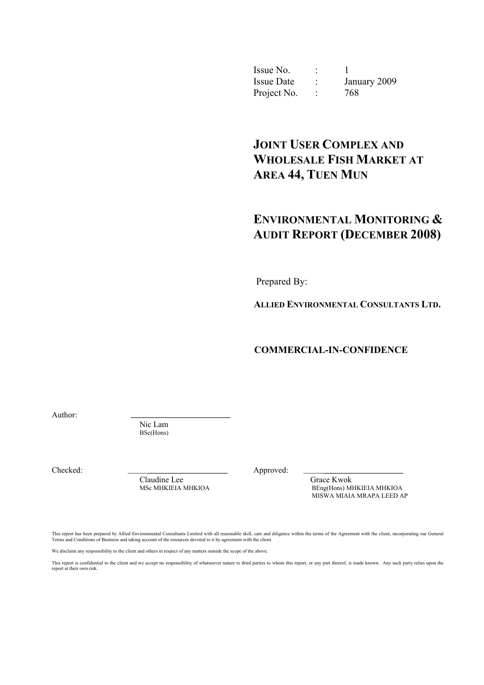| Issue No.         | ۰                   |              |
|-------------------|---------------------|--------------|
| <b>Issue Date</b> | ٠<br>$\blacksquare$ | January 2009 |
| Project No.       |                     | 768          |

# **JOINT USER COMPLEX AND WHOLESALE FISH MARKET AT AREA 44, TUEN MUN**

## **ENVIRONMENTAL MONITORING & AUDIT REPORT (DECEMBER 2008)**

Prepared By:

**ALLIED ENVIRONMENTAL CONSULTANTS LTD.** 

**COMMERCIAL-IN-CONFIDENCE** 

Author:

Nic Lam BSc(Hons)

Checked: Approved:

Claudine Lee Grace Kwok<br>
MSc MHKIEIA MHKIOA<br>
BEng(Hons) M

BEng(Hons) MHKIEIA MHKIOA MISWA MIAIA MRAPA LEED AP

This report has been prepared by Allied Environmental Consultants Limited with all reasonable skill, care and diligence within the terms of the Agreement with the client, incorporating our General Terms and Conditions of Business and taking account of the resources devoted to it by agreement with the client.

We disclaim any responsibility to the client and others in respect of any matters outside the scope of the above.

This report is confidential to the client and we accept no responsibility of whatsoever nature to third parties to whom this report, or any part thereof, is made known. Any such party relies upon the report at their own risk.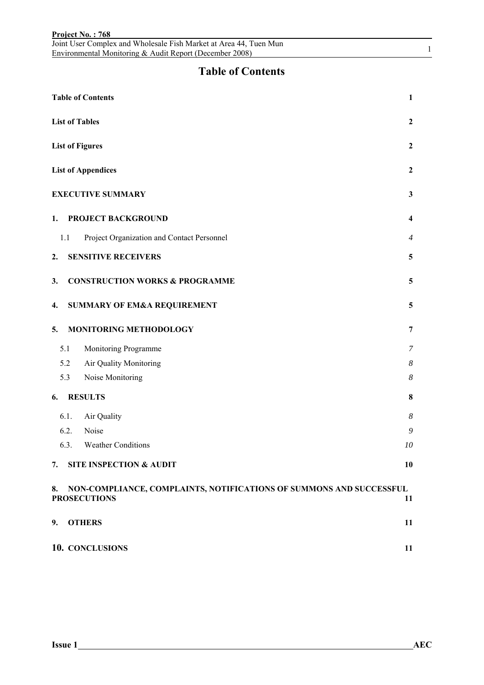|     | Joint User Complex and Wholesale Fish Market at Area 44, Tuen Mun<br>Environmental Monitoring & Audit Report (December 2008) | 1              |
|-----|------------------------------------------------------------------------------------------------------------------------------|----------------|
|     | <b>Table of Contents</b>                                                                                                     |                |
|     | <b>Table of Contents</b>                                                                                                     | 1              |
|     | <b>List of Tables</b>                                                                                                        | $\mathbf{2}$   |
|     | <b>List of Figures</b>                                                                                                       | $\overline{2}$ |
|     | <b>List of Appendices</b>                                                                                                    | 2              |
|     | <b>EXECUTIVE SUMMARY</b>                                                                                                     | 3              |
| 1.  | PROJECT BACKGROUND                                                                                                           | 4              |
| 1.1 | Project Organization and Contact Personnel                                                                                   | 4              |
| 2.  | <b>SENSITIVE RECEIVERS</b>                                                                                                   | 5              |
| 3.  | <b>CONSTRUCTION WORKS &amp; PROGRAMME</b>                                                                                    | 5              |
| 4.  | <b>SUMMARY OF EM&amp;A REQUIREMENT</b>                                                                                       | 5              |
| 5.  | MONITORING METHODOLOGY                                                                                                       | 7              |
| 5.1 | Monitoring Programme                                                                                                         | 7              |
|     | 5.2<br>Air Quality Monitoring                                                                                                | 8              |
|     | Noise Monitoring<br>5.3                                                                                                      | 8              |
| 6.  | <b>RESULTS</b>                                                                                                               | 8              |
|     | 6.1.<br>Air Quality                                                                                                          | 8              |
|     | 6.2.<br>Noise                                                                                                                | 9              |
|     | 6.3.<br><b>Weather Conditions</b>                                                                                            | 10             |
| 7.  | <b>SITE INSPECTION &amp; AUDIT</b>                                                                                           | 10             |
| 8.  | NON-COMPLIANCE, COMPLAINTS, NOTIFICATIONS OF SUMMONS AND SUCCESSFUL<br><b>PROSECUTIONS</b>                                   | 11             |
| 9.  | <b>OTHERS</b>                                                                                                                | 11             |
|     | 10. CONCLUSIONS                                                                                                              | 11             |

**Project No. : 768**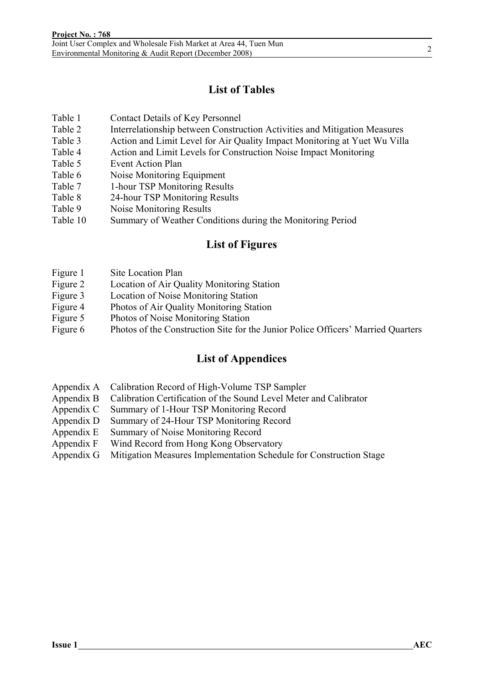## **List of Tables**

- Table 1 Contact Details of Key Personnel
- Table 2 Interrelationship between Construction Activities and Mitigation Measures
- Table 3 Action and Limit Level for Air Quality Impact Monitoring at Yuet Wu Villa
- Table 4 Action and Limit Levels for Construction Noise Impact Monitoring
- Table 5 Event Action Plan
- Table 6 Noise Monitoring Equipment
- Table 7 1-hour TSP Monitoring Results
- Table 8 24-hour TSP Monitoring Results
- Table 9 Noise Monitoring Results
- Table 10 Summary of Weather Conditions during the Monitoring Period

### **List of Figures**

- Figure 1 Site Location Plan
- Figure 2 Location of Air Quality Monitoring Station
- Figure 3 Location of Noise Monitoring Station
- Figure 4 Photos of Air Quality Monitoring Station
- Figure 5 Photos of Noise Monitoring Station
- Figure 6 Photos of the Construction Site for the Junior Police Officers' Married Quarters

### **List of Appendices**

- Appendix A Calibration Record of High-Volume TSP Sampler
- Appendix B Calibration Certification of the Sound Level Meter and Calibrator
- Appendix C Summary of 1-Hour TSP Monitoring Record
- Appendix D Summary of 24-Hour TSP Monitoring Record
- Appendix E Summary of Noise Monitoring Record
- Appendix F Wind Record from Hong Kong Observatory
- Appendix G Mitigation Measures Implementation Schedule for Construction Stage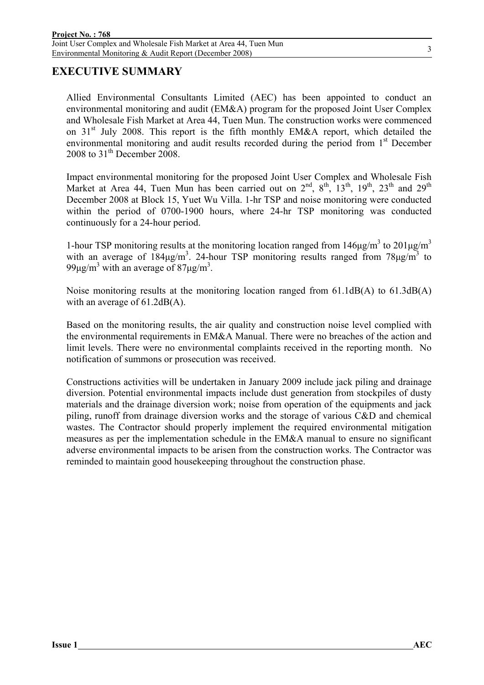### **EXECUTIVE SUMMARY**

Allied Environmental Consultants Limited (AEC) has been appointed to conduct an environmental monitoring and audit (EM&A) program for the proposed Joint User Complex and Wholesale Fish Market at Area 44, Tuen Mun. The construction works were commenced on  $31<sup>st</sup>$  July 2008. This report is the fifth monthly EM&A report, which detailed the environmental monitoring and audit results recorded during the period from 1<sup>st</sup> December 2008 to  $31<sup>th</sup>$  December 2008.

Impact environmental monitoring for the proposed Joint User Complex and Wholesale Fish Market at Area 44, Tuen Mun has been carried out on  $2^{nd}$ ,  $8^{th}$ ,  $13^{th}$ ,  $19^{th}$ ,  $23^{th}$  and  $29^{th}$ December 2008 at Block 15, Yuet Wu Villa. 1-hr TSP and noise monitoring were conducted within the period of 0700-1900 hours, where 24-hr TSP monitoring was conducted continuously for a 24-hour period.

1-hour TSP monitoring results at the monitoring location ranged from  $146\mu g/m^3$  to  $201\mu g/m^3$ with an average of  $184\mu g/m^3$ . 24-hour TSP monitoring results ranged from  $78\mu g/m^3$  to 99μg/m<sup>3</sup> with an average of 87μg/m<sup>3</sup>.

Noise monitoring results at the monitoring location ranged from 61.1dB(A) to 61.3dB(A) with an average of 61.2dB(A).

Based on the monitoring results, the air quality and construction noise level complied with the environmental requirements in EM&A Manual. There were no breaches of the action and limit levels. There were no environmental complaints received in the reporting month. No notification of summons or prosecution was received.

Constructions activities will be undertaken in January 2009 include jack piling and drainage diversion. Potential environmental impacts include dust generation from stockpiles of dusty materials and the drainage diversion work; noise from operation of the equipments and jack piling, runoff from drainage diversion works and the storage of various C&D and chemical wastes. The Contractor should properly implement the required environmental mitigation measures as per the implementation schedule in the EM&A manual to ensure no significant adverse environmental impacts to be arisen from the construction works. The Contractor was reminded to maintain good housekeeping throughout the construction phase.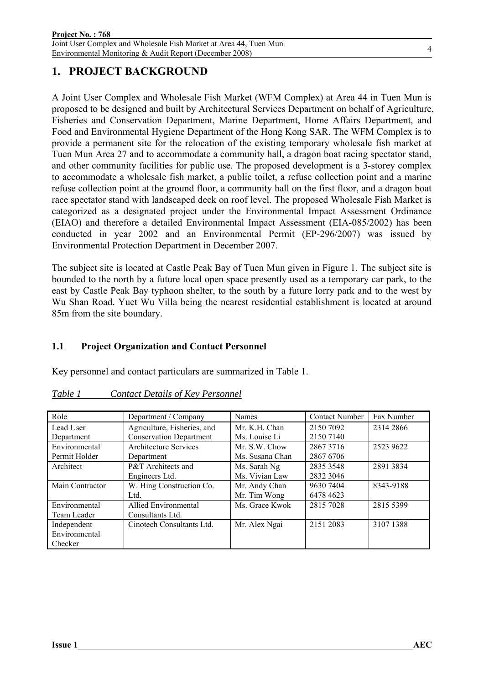## **1. PROJECT BACKGROUND**

A Joint User Complex and Wholesale Fish Market (WFM Complex) at Area 44 in Tuen Mun is proposed to be designed and built by Architectural Services Department on behalf of Agriculture, Fisheries and Conservation Department, Marine Department, Home Affairs Department, and Food and Environmental Hygiene Department of the Hong Kong SAR. The WFM Complex is to provide a permanent site for the relocation of the existing temporary wholesale fish market at Tuen Mun Area 27 and to accommodate a community hall, a dragon boat racing spectator stand, and other community facilities for public use. The proposed development is a 3-storey complex to accommodate a wholesale fish market, a public toilet, a refuse collection point and a marine refuse collection point at the ground floor, a community hall on the first floor, and a dragon boat race spectator stand with landscaped deck on roof level. The proposed Wholesale Fish Market is categorized as a designated project under the Environmental Impact Assessment Ordinance (EIAO) and therefore a detailed Environmental Impact Assessment (EIA-085/2002) has been conducted in year 2002 and an Environmental Permit (EP-296/2007) was issued by Environmental Protection Department in December 2007.

The subject site is located at Castle Peak Bay of Tuen Mun given in Figure 1. The subject site is bounded to the north by a future local open space presently used as a temporary car park, to the east by Castle Peak Bay typhoon shelter, to the south by a future lorry park and to the west by Wu Shan Road. Yuet Wu Villa being the nearest residential establishment is located at around 85m from the site boundary.

### **1.1 Project Organization and Contact Personnel**

Key personnel and contact particulars are summarized in Table 1.

| Role            | Department / Company           | <b>Names</b>    | <b>Contact Number</b> | Fax Number |
|-----------------|--------------------------------|-----------------|-----------------------|------------|
| Lead User       | Agriculture, Fisheries, and    | Mr. K.H. Chan   | 2150 7092             | 2314 2866  |
| Department      | <b>Conservation Department</b> | Ms. Louise Li   | 2150 7140             |            |
| Environmental   | Architecture Services          | Mr. S.W. Chow   | 28673716              | 2523 9622  |
| Permit Holder   | Department                     | Ms. Susana Chan | 2867 6706             |            |
| Architect       | P&T Architects and             | Ms. Sarah Ng    | 2835 3548             | 2891 3834  |
|                 | Engineers Ltd.                 | Ms. Vivian Law  | 2832 3046             |            |
| Main Contractor | W. Hing Construction Co.       | Mr. Andy Chan   | 9630 7404             | 8343-9188  |
|                 | Ltd.                           | Mr. Tim Wong    | 6478 4623             |            |
| Environmental   | <b>Allied Environmental</b>    | Ms. Grace Kwok  | 2815 7028             | 2815 5399  |
| Team Leader     | Consultants Ltd.               |                 |                       |            |
| Independent     | Cinotech Consultants Ltd.      | Mr. Alex Ngai   | 2151 2083             | 31071388   |
| Environmental   |                                |                 |                       |            |
| Checker         |                                |                 |                       |            |

#### *Table 1 Contact Details of Key Personnel*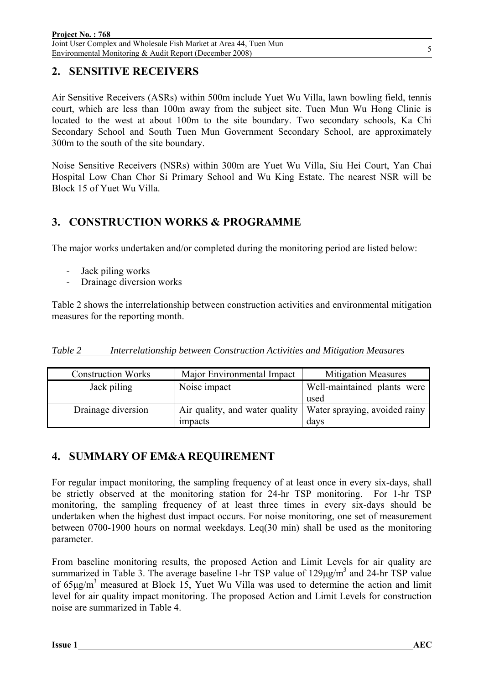### **2. SENSITIVE RECEIVERS**

Air Sensitive Receivers (ASRs) within 500m include Yuet Wu Villa, lawn bowling field, tennis court, which are less than 100m away from the subject site. Tuen Mun Wu Hong Clinic is located to the west at about 100m to the site boundary. Two secondary schools, Ka Chi Secondary School and South Tuen Mun Government Secondary School, are approximately 300m to the south of the site boundary.

Noise Sensitive Receivers (NSRs) within 300m are Yuet Wu Villa, Siu Hei Court, Yan Chai Hospital Low Chan Chor Si Primary School and Wu King Estate. The nearest NSR will be Block 15 of Yuet Wu Villa.

### **3. CONSTRUCTION WORKS & PROGRAMME**

The major works undertaken and/or completed during the monitoring period are listed below:

- Jack piling works
- Drainage diversion works

Table 2 shows the interrelationship between construction activities and environmental mitigation measures for the reporting month.

|--|

| <b>Construction Works</b> | Major Environmental Impact     | <b>Mitigation Measures</b>    |
|---------------------------|--------------------------------|-------------------------------|
| Jack piling               | Noise impact                   | Well-maintained plants were   |
|                           |                                | used                          |
| Drainage diversion        | Air quality, and water quality | Water spraying, avoided rainy |
|                           | impacts                        | days                          |

## **4. SUMMARY OF EM&A REQUIREMENT**

For regular impact monitoring, the sampling frequency of at least once in every six-days, shall be strictly observed at the monitoring station for 24-hr TSP monitoring. For 1-hr TSP monitoring, the sampling frequency of at least three times in every six-days should be undertaken when the highest dust impact occurs. For noise monitoring, one set of measurement between 0700-1900 hours on normal weekdays. Leq(30 min) shall be used as the monitoring parameter.

From baseline monitoring results, the proposed Action and Limit Levels for air quality are summarized in Table 3. The average baseline 1-hr TSP value of  $129\mu g/m<sup>3</sup>$  and 24-hr TSP value of 65μg/m<sup>3</sup> measured at Block 15, Yuet Wu Villa was used to determine the action and limit level for air quality impact monitoring. The proposed Action and Limit Levels for construction noise are summarized in Table 4.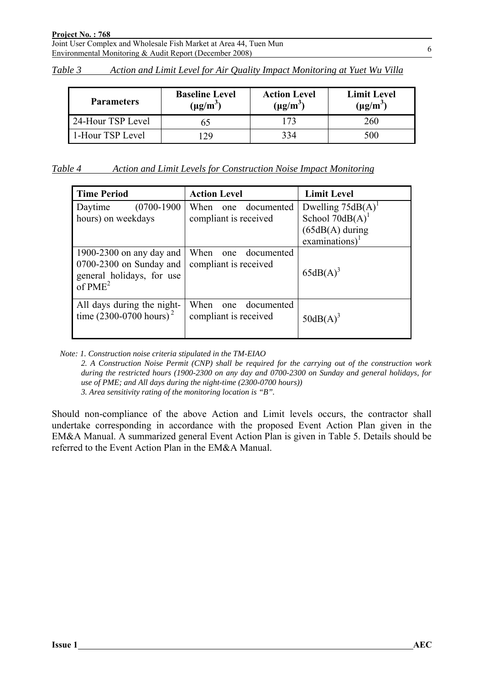| Table 3 | Action and Limit Level for Air Quality Impact Monitoring at Yuet Wu Villa |  |  |  |  |  |
|---------|---------------------------------------------------------------------------|--|--|--|--|--|
|         |                                                                           |  |  |  |  |  |

| <b>Parameters</b> | <b>Baseline Level</b><br>$(\mu g/m^3)$ | <b>Action Level</b><br>$(\mu g/m^3)$ | <b>Limit Level</b><br>$(\mu g/m^3)$ |
|-------------------|----------------------------------------|--------------------------------------|-------------------------------------|
| 24-Hour TSP Level |                                        | 73                                   | 260                                 |
| 1-Hour TSP Level  | 29                                     | 334                                  | 500                                 |

| Table 4<br>Action and Limit Levels for Construction Noise Impact Monitoring |
|-----------------------------------------------------------------------------|
|-----------------------------------------------------------------------------|

| <b>Time Period</b>                                                                                      | <b>Action Level</b>                                | <b>Limit Level</b>                                                                 |
|---------------------------------------------------------------------------------------------------------|----------------------------------------------------|------------------------------------------------------------------------------------|
| $(0700-1900)$<br>Daytime<br>hours) on weekdays                                                          | documented<br>When<br>one<br>compliant is received | Dwelling $75dB(A)^T$<br>School $70dB(A)$<br>$(65dB(A)$ during<br>examinations) $1$ |
| 1900-2300 on any day and<br>0700-2300 on Sunday and<br>general holidays, for use<br>of PME <sup>2</sup> | When<br>documented<br>one<br>compliant is received | $65dB(A)^3$                                                                        |
| All days during the night-<br>time $(2300-0700 \text{ hours})^2$                                        | When<br>documented<br>one<br>compliant is received | $50dB(A)^3$                                                                        |

*Note: 1. Construction noise criteria stipulated in the TM-EIAO* 

*2. A Construction Noise Permit (CNP) shall be required for the carrying out of the construction work during the restricted hours (1900-2300 on any day and 0700-2300 on Sunday and general holidays, for use of PME; and All days during the night-time (2300-0700 hours)) 3. Area sensitivity rating of the monitoring location is "B".* 

Should non-compliance of the above Action and Limit levels occurs, the contractor shall undertake corresponding in accordance with the proposed Event Action Plan given in the EM&A Manual. A summarized general Event Action Plan is given in Table 5. Details should be referred to the Event Action Plan in the EM&A Manual.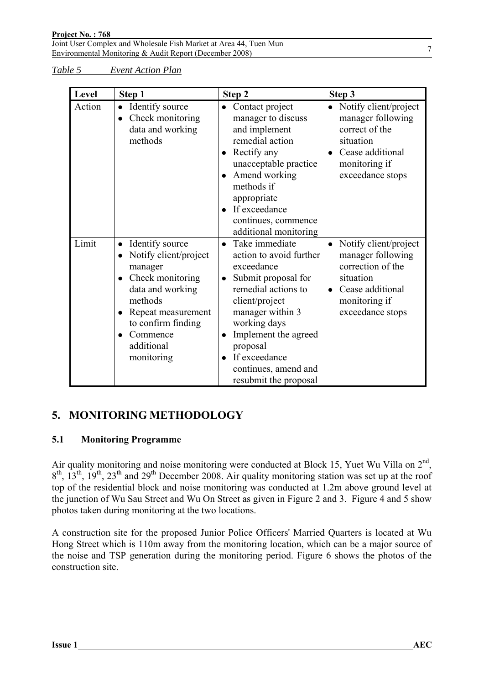*Table 5 Event Action Plan*

| Level  | Step 1                                                                                                                                                                                                  | Step 2                                                                                                                                                                                                                                                                                                   | Step 3                                                                                                                                                          |
|--------|---------------------------------------------------------------------------------------------------------------------------------------------------------------------------------------------------------|----------------------------------------------------------------------------------------------------------------------------------------------------------------------------------------------------------------------------------------------------------------------------------------------------------|-----------------------------------------------------------------------------------------------------------------------------------------------------------------|
| Action | • Identify source<br>Check monitoring<br>data and working<br>methods                                                                                                                                    | • Contact project<br>manager to discuss<br>and implement<br>remedial action<br>Rectify any<br>$\bullet$<br>unacceptable practice<br>Amend working<br>methods if<br>appropriate<br>If exceedance<br>continues, commence<br>additional monitoring                                                          | Notify client/project<br>$\bullet$<br>manager following<br>correct of the<br>situation<br>Cease additional<br>monitoring if<br>exceedance stops                 |
| Limit  | Identify source<br>$\bullet$<br>Notify client/project<br>manager<br>Check monitoring<br>data and working<br>methods<br>Repeat measurement<br>to confirm finding<br>Commence<br>additional<br>monitoring | Take immediate<br>$\bullet$<br>action to avoid further<br>exceedance<br>Submit proposal for<br>$\bullet$<br>remedial actions to<br>client/project<br>manager within 3<br>working days<br>Implement the agreed<br>proposal<br>If exceedance<br>$\bullet$<br>continues, amend and<br>resubmit the proposal | Notify client/project<br>$\bullet$<br>manager following<br>correction of the<br>situation<br>Cease additional<br>$\bullet$<br>monitoring if<br>exceedance stops |

## **5. MONITORING METHODOLOGY**

### **5.1 Monitoring Programme**

Air quality monitoring and noise monitoring were conducted at Block 15, Yuet Wu Villa on  $2<sup>nd</sup>$ ,  $8<sup>th</sup>$ ,  $13<sup>th</sup>$ ,  $19<sup>th</sup>$ ,  $23<sup>th</sup>$  and  $29<sup>th</sup>$  December 2008. Air quality monitoring station was set up at the roof top of the residential block and noise monitoring was conducted at 1.2m above ground level at the junction of Wu Sau Street and Wu On Street as given in Figure 2 and 3. Figure 4 and 5 show photos taken during monitoring at the two locations.

A construction site for the proposed Junior Police Officers' Married Quarters is located at Wu Hong Street which is 110m away from the monitoring location, which can be a major source of the noise and TSP generation during the monitoring period. Figure 6 shows the photos of the construction site.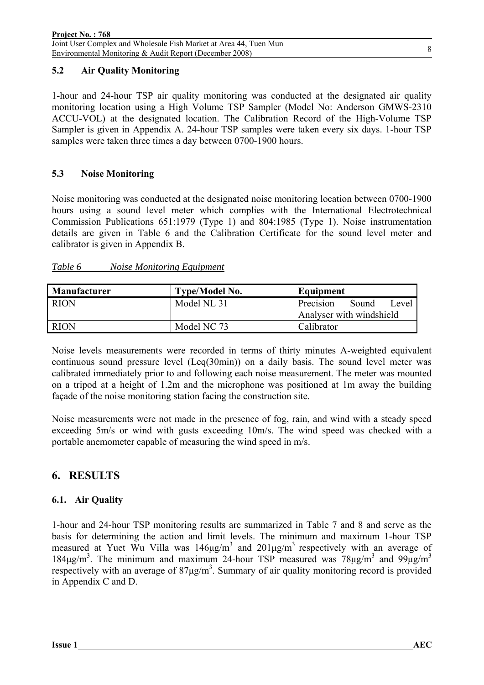### **5.2 Air Quality Monitoring**

1-hour and 24-hour TSP air quality monitoring was conducted at the designated air quality monitoring location using a High Volume TSP Sampler (Model No: Anderson GMWS-2310 ACCU-VOL) at the designated location. The Calibration Record of the High-Volume TSP Sampler is given in Appendix A. 24-hour TSP samples were taken every six days. 1-hour TSP samples were taken three times a day between 0700-1900 hours.

#### **5.3 Noise Monitoring**

Noise monitoring was conducted at the designated noise monitoring location between 0700-1900 hours using a sound level meter which complies with the International Electrotechnical Commission Publications 651:1979 (Type 1) and 804:1985 (Type 1). Noise instrumentation details are given in Table 6 and the Calibration Certificate for the sound level meter and calibrator is given in Appendix B.

### *Table 6 Noise Monitoring Equipment*

| <b>Manufacturer</b> | <b>Type/Model No.</b> | Equipment                   |
|---------------------|-----------------------|-----------------------------|
| <b>RION</b>         | Model NL 31           | Sound<br>Precision<br>Level |
|                     |                       | Analyser with windshield    |
| <b>RION</b>         | Model NC 73           | Calibrator                  |

Noise levels measurements were recorded in terms of thirty minutes A-weighted equivalent continuous sound pressure level  $(Leg(30min))$  on a daily basis. The sound level meter was calibrated immediately prior to and following each noise measurement. The meter was mounted on a tripod at a height of 1.2m and the microphone was positioned at 1m away the building façade of the noise monitoring station facing the construction site.

Noise measurements were not made in the presence of fog, rain, and wind with a steady speed exceeding 5m/s or wind with gusts exceeding 10m/s. The wind speed was checked with a portable anemometer capable of measuring the wind speed in m/s.

## **6. RESULTS**

### **6.1. Air Quality**

1-hour and 24-hour TSP monitoring results are summarized in Table 7 and 8 and serve as the basis for determining the action and limit levels. The minimum and maximum 1-hour TSP measured at Yuet Wu Villa was  $146 \mu g/m^3$  and  $201 \mu g/m^3$  respectively with an average of 184μg/m<sup>3</sup>. The minimum and maximum 24-hour TSP measured was  $78\mu$ g/m<sup>3</sup> and  $99\mu$ g/m<sup>3</sup> respectively with an average of  $87\mu g/m<sup>3</sup>$ . Summary of air quality monitoring record is provided in Appendix C and D.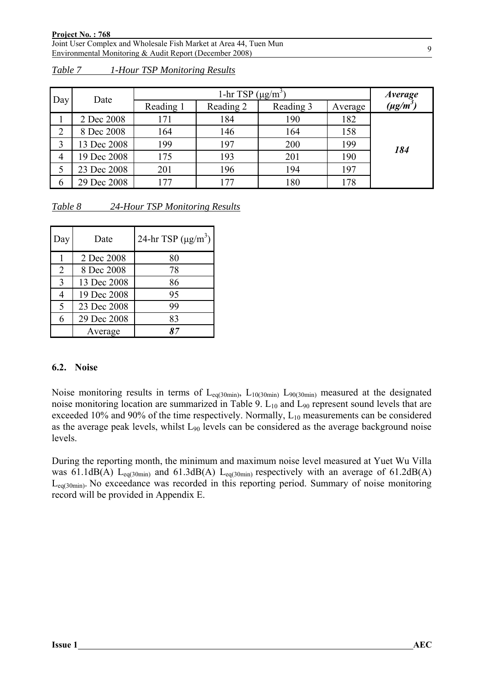|                | Date        |           | 1-hr TSP $(\mu g/m^3)$ |           |         |               |  |
|----------------|-------------|-----------|------------------------|-----------|---------|---------------|--|
| Day            |             | Reading 1 | Reading 2              | Reading 3 | Average | $(\mu g/m^3)$ |  |
|                | 2 Dec 2008  | 171       | 184                    | 190       | 182     |               |  |
| $\overline{2}$ | 8 Dec 2008  | 164       | 146                    | 164       | 158     |               |  |
|                | 13 Dec 2008 | 199       | 197                    | 200       | 199     | 184           |  |
| $\overline{4}$ | 19 Dec 2008 | 175       | 193                    | 201       | 190     |               |  |
|                | 23 Dec 2008 | 201       | 196                    | 194       | 197     |               |  |
| 6              | 29 Dec 2008 | 177       | 177                    | 180       | 178     |               |  |

| Table 7 | 1-Hour TSP Monitoring Results |  |
|---------|-------------------------------|--|
|         |                               |  |

| Table 8 |  | 24-Hour TSP Monitoring Results |  |
|---------|--|--------------------------------|--|
|         |  |                                |  |

| Day            | Date        | 24-hr TSP $(\mu g/m^3)$ |
|----------------|-------------|-------------------------|
|                | 2 Dec 2008  | 80                      |
| $\overline{2}$ | 8 Dec 2008  | 78                      |
| 3              | 13 Dec 2008 | 86                      |
|                | 19 Dec 2008 | 95                      |
| $\varsigma$    | 23 Dec 2008 | 99                      |
| 6              | 29 Dec 2008 | 83                      |
|                | Average     |                         |

#### **6.2. Noise**

Noise monitoring results in terms of  $L_{eq(30min)}$ ,  $L_{10(30min)}$   $L_{90(30min)}$  measured at the designated noise monitoring location are summarized in Table 9.  $L_{10}$  and  $L_{90}$  represent sound levels that are exceeded 10% and 90% of the time respectively. Normally,  $L_{10}$  measurements can be considered as the average peak levels, whilst L<sub>90</sub> levels can be considered as the average background noise levels.

During the reporting month, the minimum and maximum noise level measured at Yuet Wu Villa was 61.1dB(A) L<sub>eq(30min)</sub> and 61.3dB(A) L<sub>eq(30min)</sub> respectively with an average of 61.2dB(A) Leq(30min). No exceedance was recorded in this reporting period. Summary of noise monitoring record will be provided in Appendix E.

9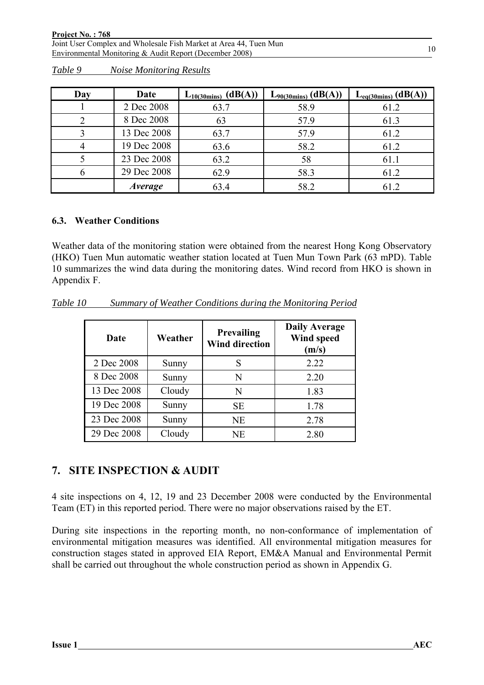| Day | Date           | $L_{10(30\text{mins})}$ (dB(A)) | $L_{90(30\text{mins})}$ (dB(A)) | $L_{eq(30 mins)}$ (dB(A)) |
|-----|----------------|---------------------------------|---------------------------------|---------------------------|
|     | 2 Dec 2008     | 63.7                            | 58.9                            | 61.2                      |
|     | 8 Dec 2008     | 63                              | 57.9                            | 61.3                      |
|     | 13 Dec 2008    | 63.7                            | 57.9                            | 61.2                      |
|     | 19 Dec 2008    | 63.6                            | 58.2                            | 61.2                      |
|     | 23 Dec 2008    | 63.2                            | 58                              | 61.1                      |
|     | 29 Dec 2008    | 62.9                            | 58.3                            | 61.2                      |
|     | <i>Average</i> | 63.4                            | 58.2                            | 61.2                      |

*Table 9 Noise Monitoring Results*

#### **6.3. Weather Conditions**

Weather data of the monitoring station were obtained from the nearest Hong Kong Observatory (HKO) Tuen Mun automatic weather station located at Tuen Mun Town Park (63 mPD). Table 10 summarizes the wind data during the monitoring dates. Wind record from HKO is shown in Appendix F.

*Table 10 Summary of Weather Conditions during the Monitoring Period*

| Date        | Weather | Prevailing<br><b>Wind direction</b> | <b>Daily Average</b><br>Wind speed<br>(m/s) |
|-------------|---------|-------------------------------------|---------------------------------------------|
| 2 Dec 2008  | Sunny   | S                                   | 2.22                                        |
| 8 Dec 2008  | Sunny   | N                                   | 2.20                                        |
| 13 Dec 2008 | Cloudy  | N                                   | 1.83                                        |
| 19 Dec 2008 | Sunny   | <b>SE</b>                           | 1.78                                        |
| 23 Dec 2008 | Sunny   | <b>NE</b>                           | 2.78                                        |
| 29 Dec 2008 | Cloudy  | NE                                  | 2.80                                        |

### **7. SITE INSPECTION & AUDIT**

4 site inspections on 4, 12, 19 and 23 December 2008 were conducted by the Environmental Team (ET) in this reported period. There were no major observations raised by the ET.

During site inspections in the reporting month, no non-conformance of implementation of environmental mitigation measures was identified. All environmental mitigation measures for construction stages stated in approved EIA Report, EM&A Manual and Environmental Permit shall be carried out throughout the whole construction period as shown in Appendix G.